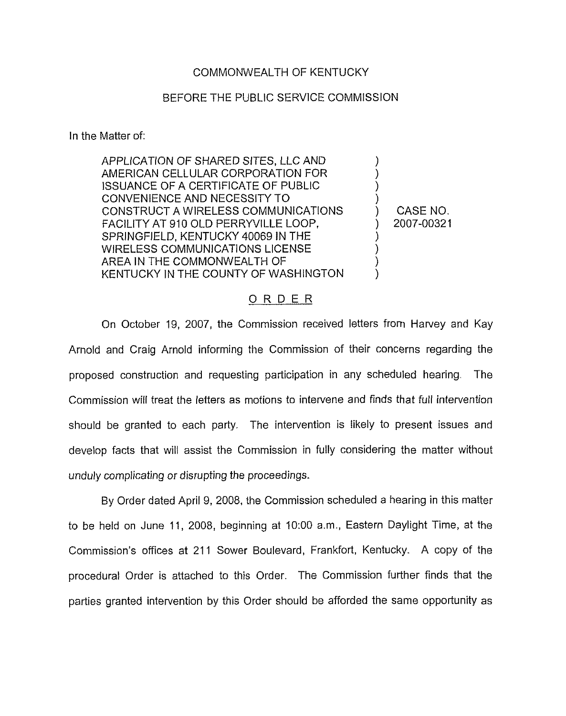## COMMONWEALTH OF KENTUCKY

# BEFORE THE PUBLIC SERVICE COMMISSION

In the Matter of:

| APPLICATION OF SHARED SITES, LLC AND<br>AMERICAN CELLULAR CORPORATION FOR<br><b>ISSUANCE OF A CERTIFICATE OF PUBLIC</b> |            |
|-------------------------------------------------------------------------------------------------------------------------|------------|
| CONVENIENCE AND NECESSITY TO<br>CONSTRUCT A WIRELESS COMMUNICATIONS                                                     | CASE NO.   |
| FACILITY AT 910 OLD PERRYVILLE LOOP,<br>SPRINGFIELD, KENTUCKY 40069 IN THE                                              | 2007-00321 |
| <b>WIRELESS COMMUNICATIONS LICENSE</b><br>AREA IN THE COMMONWEALTH OF<br>KENTUCKY IN THE COUNTY OF WASHINGTON           |            |
|                                                                                                                         |            |

## ORDER

On October 19, 2007, the Commission received letters from Harvey and Kay Arnold and Craig Arnold informing the Commission of their concerns regarding the proposed construction and requesting participation in any scheduled hearing, The Commission will treat the letters as motions to intervene and finds that full intervention should be granted to each party. The intervention is likely to present issues and develop facts that will assist the Commission in fully considering the matter without unduly complicating or disrupting the proceedings.

By Order dated April 9, 2008, the Commission scheduled a hearing in this matter to be held on June 11, 2008, beginning at 10:00 a.m., Eastern Daylight Time, at the Commission's offices at 211 Sower Boulevard, Frankfort, Kentucky. A copy of the procedural Order is attached to this Order. The Commission further finds that the parties granted intervention by this Order should be afforded the same opportunity as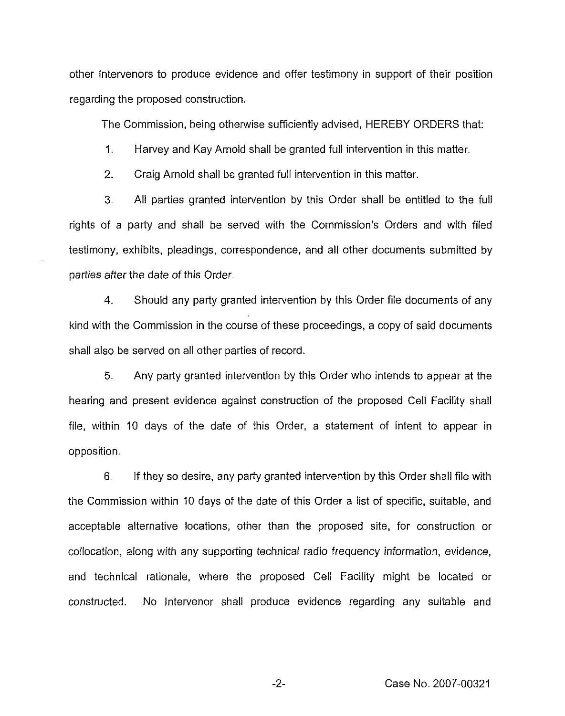other Intervenors to produce evidence and offer testimony in support of their position regarding the proposed construction.

The Commission, being otherwise sufficiently advised, HEREBY ORDERS that:

 $1.$ Harvey and Kay Arnold shall be granted full intervention in this matter.

2. Craig Arnold shall be granted full intervention in this matter.

3. All parties granted intervention by this Order shall be entitled to the full rights of a party and shall be served with the Commission's Orders and with filed testimony, exhibits, pleadings, correspondence, and all other documents submitted by parties after the date of this Order,

4. Should any party granted intervention by this Order file documents of any kind with the Commission in the course of these proceedings, a copy of said documents shall also be served on all other parties of record.

5. Any party granted intervention by this Order who intends to appear at the hearing and present evidence against construction of the proposed Cell Facility shall file, within 10 days of the date of this Order, a statement of intent to appear in opposition.

6. If they so desire, any party granted intervention by this Order shall file with the Commission within 10 days of the date of this Order a list of specific, suitable, and acceptable alternative locations, other than the proposed site, for construction or collocation, along with any supporting technical radio frequency information, evidence, and technical rationale, where the proposed Cell Facility might be located or constructed. No intervenor shall produce evidence regarding any suitable and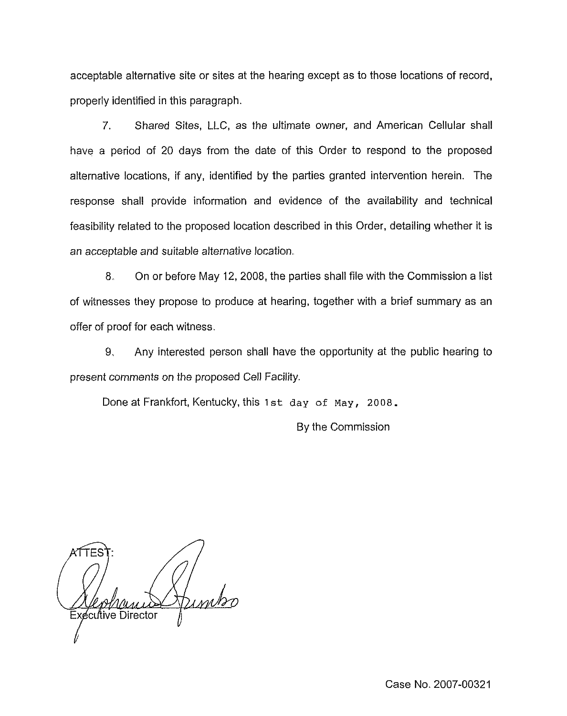acceptable alternative site or sites at the hearing except as to those locations of record, properly identified in this paragraph.

7. Shared Sites, LLC, as the ultimate owner, and American Cellular shall have a period of 20 days from the date of this Order to respond to the proposed alternative locations, if any, identified by the parties granted intervention herein. The response shall provide information and evidence of the availability and technical feasibility related to the proposed location described in this Order, detailing whether it is an acceptable and suitable alternative location.

8. On or before May 12, 2008, the parties shall file with the Commission a list of witnesses they propose to produce at hearing, together with a brief summary as an offer of proof for each witness.

9, Any interested person shall have the opportunity at the public hearing to present comments on the proposed Cell Facility.

Done at Frankfort, Kentucky, this 1st day of May, 2008.

By the Commission

 $\eta_{\mathcal{U}}$ Executive Director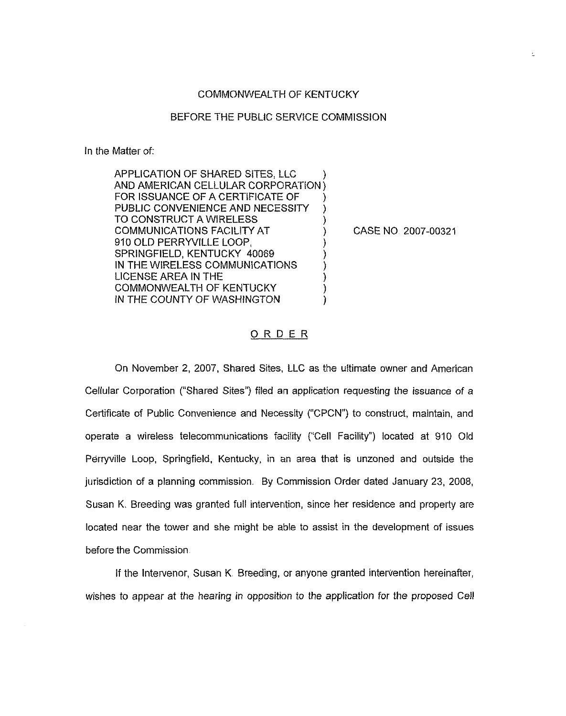#### COMMONWEALTH OF KENTUCKY

### BEFORE THE PUBLIC SERVICE COMMISSION

ln the Matter of:

| APPLICATION OF SHARED SITES, LLC   |   |
|------------------------------------|---|
| AND AMERICAN CELLULAR CORPORATION) |   |
| FOR ISSUANCE OF A CERTIFICATE OF   |   |
| PUBLIC CONVENIENCE AND NECESSITY   |   |
| TO CONSTRUCT A WIRELESS            |   |
| COMMUNICATIONS FACILITY AT         | Г |
| 910 OLD PERRYVILLE LOOP.           |   |
| SPRINGFIELD, KENTUCKY 40069        |   |
| IN THE WIRELESS COMMUNICATIONS     |   |
| LICENSE AREA IN THE                |   |
| COMMONWEALTH OF KENTUCKY           |   |
| IN THE COUNTY OF WASHINGTON        |   |

CASE NO 2007-00321

### ORDER

On November 2, 2007, Shared Sites, LLC as the ultimate owner and American Cellular Corporation ("Shared Sites") filed an application requesting the issuance of a Certificate of Public Convenience and Necessity ("CPCN") to construct, maintain, and operate a wireless telecommunications facility ("Cell Facility") located at 910 Old Perryville Loop, Springfield, Kentucky, in an area that is unzoned and outside the jurisdiction of a planning commission. By Commission Order dated January 23, 2008, Susan K. Breeding was granted full intervention, since her residence and property are located near the tower and she might be able to assist in the development of issues before the Commission

If the Intervenor, Susan K. Breeding, or anyone granted intervention hereinafter, wishes to appear at the hearing in opposition to the application for the proposed Cei!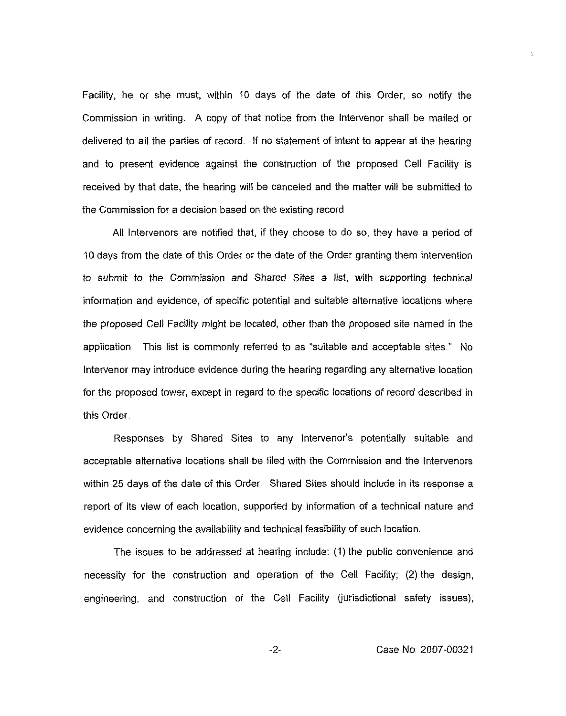Facility, he or she must, within 10 days of the date of this Order, so notify the Commission in writing. A copy of that notice from the Intervenor shall be maiied or delivered to all the parties of record. if no statement of intent to appear at the hearing and to present evidence against the construction of the proposed Cell Facility is received by that date, the hearing will be canceled and the matter will be submitted to the Commission for a decision based on the existing record

All Intervenors are notified that, if they choose to do so, they have a period of 10 days from the date of this Order or the date of the Order granting them intervention to submit to the Commission and Shared Sites a list, with supporting technical information and evidence, of specific potential and suitable alternative locations where the proposed Cell Facility might be located, other than the proposed site named in the application. This list is commonly referred to as "suitable and acceptable sites." No Intervenor may introduce evidence during the hearing regarding any alternative location for the proposed tower, except in regard to the specific locations of record described in this Order

Responses by Shared Sites to any Intervenor's potentially suitable and acceptable alternative locations shall be filed with the Commission and the intervenors within 25 days of the date of this Order. Shared Sites should include in its response a report of its view of each location, supported by information of a technical nature and evidence concerning the availability and technical feasibility of such location

The issues to be addressed at hearing include: (1) the public convenience and necessity for the construction and operation of the Cell Facility; (2) the design, engineering, and construction of the Cell Facility (jurisdictional safety issues),

 $-2-$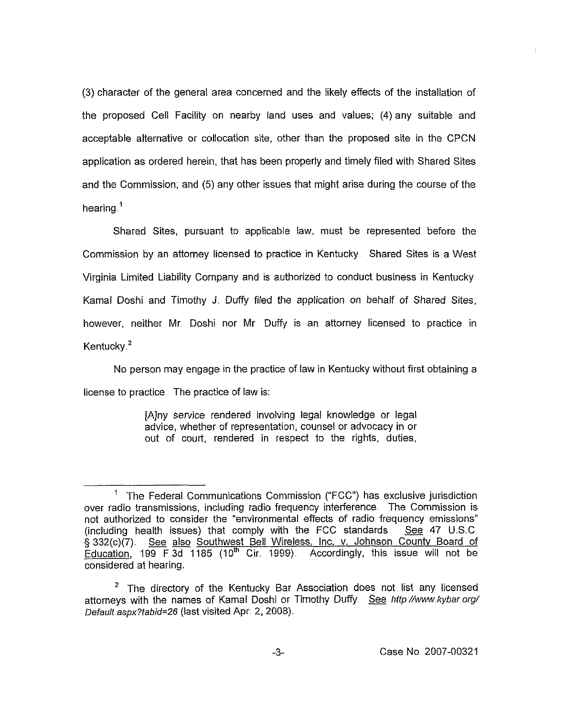(3) character of the general area concerned and the likely effects of the installation of the proposed Cell Facility on nearby land uses and values; (4) any suitable and acceptable alternative or collocation site, other than the proposed site in the CPCN application as ordered herein, that has been properly and timely filed with Shared Sites and the Commission; and (5) any other issues that might arise during the course of the hearing.<sup>1</sup>

Shared Sites, pursuant to applicable law, must be represented before the Commission by an attorney licensed to practice in Kentucky Shared Sites is a West Virginia Limited Liability Company and is authorized to conduct business in Kentucky Kamal Doshi and Timothy J. Duffy filed the application on behalf of Shared Sites, however, neither Mr. Doshi nor Mr Duffy is an attorney licensed to practice in Kentucky $^2$ 

person may engage in the practice of law in Kentucky without first obtaining a license to practice The practice of law is:

> [A]ny service rendered involving legal knowledge or legal advice, whether of representation, counsel or advocacy in or out of court, rendered in respect to the rights, duties,

÷.

 $1$  The Federal Communications Commission ("FCC") has exclusive jurisdiction over radio transmissions, including radio frequency interference. The Commission is not authorized to consider the "environmental effects of radio frequency emissions"<br>(including health issues) that comply with the FCC standards. See 47 U.S.C. (including health issues) that comply with the FCC standards. <sup>g</sup> 332(c)(7). See also Southwest Bell Wireless, inc. v. Johnson Countv Board of Education, 199 F 3d 1185 (10<sup>th</sup> Cir. 1999) Accordingly, this issue will not be considered at hearing.

<sup>&</sup>lt;sup>2</sup> The directory of the Kentucky Bar Association does not list any licensed attorneys with the names of Kamal Doshi or Timothy Duffy See http://www.kybar.org/ Default aspx?tabid=26 (last visited Apr. 2, 2008).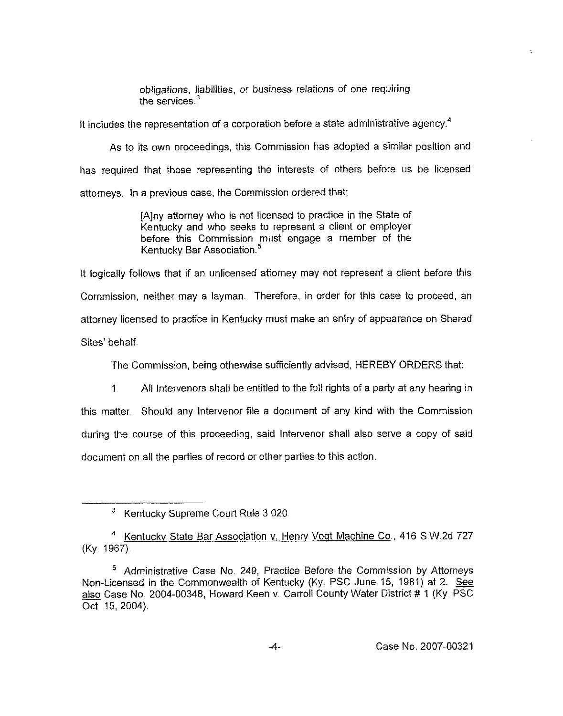obligations, liabilities, or business relations of one requiring the services. $3$ 

It includes the representation of a corporation before a state administrative agency.<sup>4</sup>

As to its own proceedings, this Commission has adopted a similar position and has required that those representing the interests of others before us be licensed attorneys. In a previous case, the Commission ordered that:

> [A]ny attorney who is not licensed to practice in the State of Kentucky and who seeks to represent a client or employer before this Commission must engage a member of the Kentucky Bar Association.

It logically follows that if an unlicensed attorney may not represent a client before this Commission, neither may a layman Therefore, in order for this case to proceed, an attorney licensed to practice in Kentucky must make an entry of appearance on Shared Sites' behalf.

The Commission, heing otherwise sufficiently advised, HEREBY ORDERS that:

<sup>1</sup> All Intervenors shall be entitled to the full rights of a party at any hearing in this matter. Should any Intervenor fiie a document of any kind with the Commission during the course of this proceeding, said Intervenor shall also serve a copy of said document on all the parties of record or other parties to this action.

<sup>4</sup> Kentucky State Bar Association v. Henry Vogt Machine Co., 416 S.W.2d 727 (Ky 1967)

 $\cdot$ 

<sup>&</sup>lt;sup>3</sup> Kentucky Supreme Court Rule 3 020

Administrative Case No 249, Practice Before the Commission by Attorneys Non-Licensed in the Commonwealth of Kentucky (Ky. PSC June 15, 1981) at 2. See also Case No. 2004-00348, Howard Keen v. Carroll County Water District # 1 (Ky. PSC Oct 15, 2004)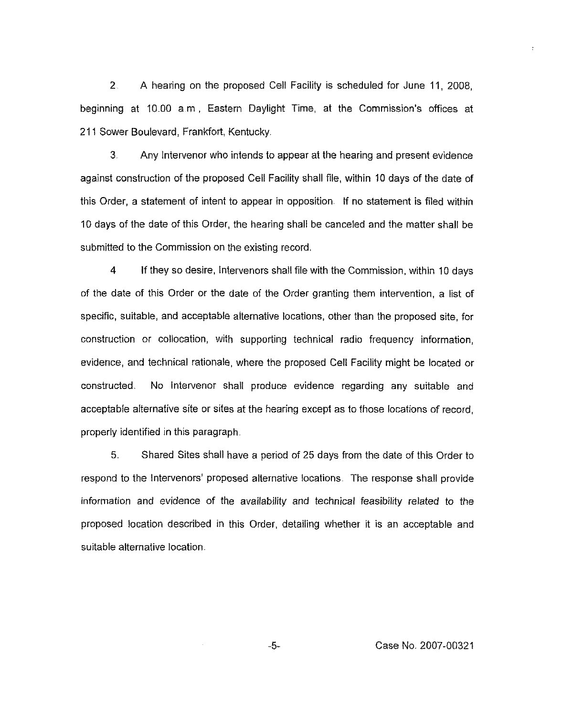2 A hearing on the proposed Cell Facility is scheduled for June 11, 200B, beginning at 10.00 a m, Eastern Daylight Time, at the Commission's offices at 211 Sower Boulevard, Frankfort, Kentucky.

3 Any intervenor who intends to appear at the hearing and present evidence against construction of the proposed Cell Facility shall file, within 10 days of the date of this Order, a statement of intent to appear in opposition. If no statement is filed within 10 days of the date of this Order, the hearing shall be canceled and the matter shall be submitted to the Commission on the existing record,

4 If they so desire, Intervenors shall file with the Commission, within 10 days of the date of this Order or the date of the Order granting them intervention, a list of specific, suitable, and acceptable alternative locations, other than the proposed site, for construction or collocation, with supporting technical radio frequency information, evidence, and technical rationale, where the proposed Ceil Facility might be located or constructed. No Intervenor shall produce evidence regarding any suitable and acceptable alternative site or sites at the hearing except as to those locations of record, properly identified in this paragraph,

5. Shared Sites shall have a period of 25 days from the date of this Order to respond to the Intervenors' proposed alternative locations. The response shall provide information and evidence of the availability and technical feasibility related to the proposed location described in this Order, detailing whether it is an acceptable and suitable alternative location.

 $\ddot{\phantom{a}}$ 

 $-5-$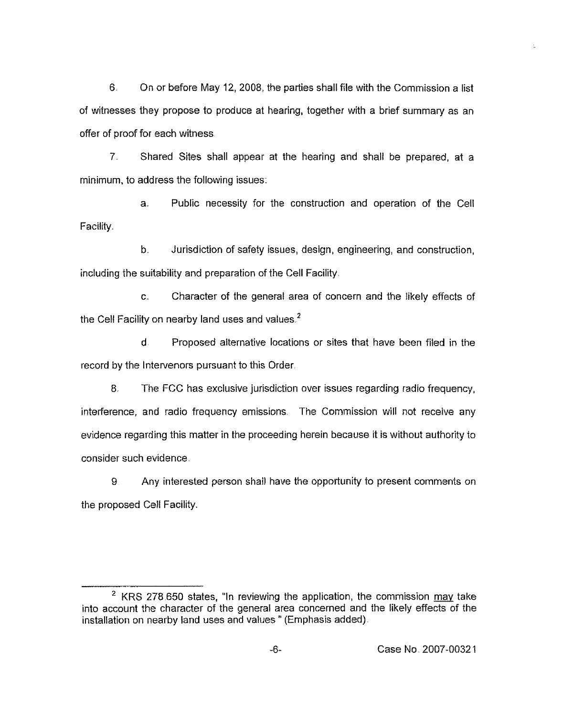6. On or before May 12, 2008, the parties shall file with the Commission a list of witnesses they propose to produce at hearing, together with a brief summary as an offer of proof for each witness

7. Shared Sites shall appear at the hearing and shall be prepared, at a minimum, to address the following issues.

a. Public necessity for the construction and operation of the Cell Facility.

b. Jurisdiction of safety issues, design, engineering, and construction, including the suitability and preparation of the Cell Facility.

c. Character of the general area of concern and the likely effects of the Cell Facility on nearby land uses and values.<sup>2</sup>

d Proposed alternative locations or sites that have been filed in the record by the Intervenors pursuant to this Order.

8, The FCC has exclusive jurisdiction over issues regarding radio frequency, interference, and radio frequency emissions The Commission will not receive any evidence regarding this matter in the proceeding herein because it is without authority to consider such evidence.

9 Any interested person shall have the opportunity to present comments on the proposed Cell Facility.

<sup>&</sup>lt;sup>2</sup> KRS 278.650 states, "In reviewing the application, the commission  $\frac{may}{m}$  take into account the character of the general area concerned and the likely effects of the installation on nearby land uses and values" (Emphasis added)